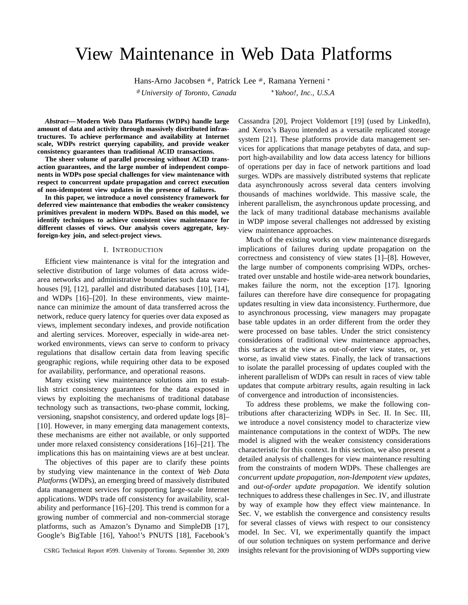# View Maintenance in Web Data Platforms

Hans-Arno Jacobsen #, Patrick Lee #, Ramana Yerneni \*

# *University of Toronto, Canada*

*Yahoo!, Inc., U.S.A*

*Abstract***— Modern Web Data Platforms (WDPs) handle large amount of data and activity through massively distributed infrastructures. To achieve performance and availability at Internet scale, WDPs restrict querying capability, and provide weaker consistency guarantees than traditional ACID transactions.**

**The sheer volume of parallel processing without ACID transaction guarantees, and the large number of independent components in WDPs pose special challenges for view maintenance with respect to concurrent update propagation and correct execution of non-idempotent view updates in the presence of failures.**

**In this paper, we introduce a novel consistency framework for deferred view maintenance that embodies the weaker consistency primitives prevalent in modern WDPs. Based on this model, we identify techniques to achieve consistent view maintenance for different classes of views. Our analysis covers aggregate, keyforeign-key join, and select-project views.**

#### I. INTRODUCTION

Efficient view maintenance is vital for the integration and selective distribution of large volumes of data across widearea networks and administrative boundaries such data warehouses [9], [12], parallel and distributed databases [10], [14], and WDPs [16]–[20]. In these environments, view maintenance can minimize the amount of data transferred across the network, reduce query latency for queries over data exposed as views, implement secondary indexes, and provide notification and alerting services. Moreover, especially in wide-area networked environments, views can serve to conform to privacy regulations that disallow certain data from leaving specific geographic regions, while requiring other data to be exposed for availability, performance, and operational reasons.

Many existing view maintenance solutions aim to establish strict consistency guarantees for the data exposed in views by exploiting the mechanisms of traditional database technology such as transactions, two-phase commit, locking, versioning, snapshot consistency, and ordered update logs [8]– [10]. However, in many emerging data management contexts, these mechanisms are either not available, or only supported under more relaxed consistency considerations [16]–[21]. The implications this has on maintaining views are at best unclear.

The objectives of this paper are to clarify these points by studying view maintenance in the context of *Web Data Platforms* (WDPs), an emerging breed of massively distributed data management services for supporting large-scale Internet applications. WDPs trade off consistency for availability, scalability and performance [16]–[20]. This trend is common for a growing number of commercial and non-commercial storage platforms, such as Amazon's Dynamo and SimpleDB [17], Google's BigTable [16], Yahoo!'s PNUTS [18], Facebook's

Cassandra [20], Project Voldemort [19] (used by LinkedIn), and Xerox's Bayou intended as a versatile replicated storage system [21]. These platforms provide data management services for applications that manage petabytes of data, and support high-availability and low data access latency for billions of operations per day in face of network partitions and load surges. WDPs are massively distributed systems that replicate data asynchronously across several data centers involving thousands of machines worldwide. This massive scale, the inherent parallelism, the asynchronous update processing, and the lack of many traditional database mechanisms available in WDP impose several challenges not addressed by existing view maintenance approaches.

Much of the existing works on view maintenance disregards implications of failures during update propagation on the correctness and consistency of view states [1]–[8]. However, the large number of components comprising WDPs, orchestrated over unstable and hostile wide-area network boundaries, makes failure the norm, not the exception [17]. Ignoring failures can therefore have dire consequence for propagating updates resulting in view data inconsistency. Furthermore, due to asynchronous processing, view managers may propagate base table updates in an order different from the order they were processed on base tables. Under the strict consistency considerations of traditional view maintenance approaches, this surfaces at the view as out-of-order view states, or, yet worse, as invalid view states. Finally, the lack of transactions to isolate the parallel processing of updates coupled with the inherent parallelism of WDPs can result in races of view table updates that compute arbitrary results, again resulting in lack of convergence and introduction of inconsistencies.

To address these problems, we make the following contributions after characterizing WDPs in Sec. II. In Sec. III, we introduce a novel consistency model to characterize view maintenance computations in the context of WDPs. The new model is aligned with the weaker consistency considerations characteristic for this context. In this section, we also present a detailed analysis of challenges for view maintenance resulting from the constraints of modern WDPs. These challenges are *concurrent update propagation*, *non-Idempotent view updates*, and *out-of-order update propagation*. We identify solution techniques to address these challenges in Sec. IV, and illustrate by way of example how they effect view maintenance. In Sec. V, we establish the convergence and consistency results for several classes of views with respect to our consistency model. In Sec. VI, we experimentally quantify the impact of our solution techniques on system performance and derive insights relevant for the provisioning of WDPs supporting view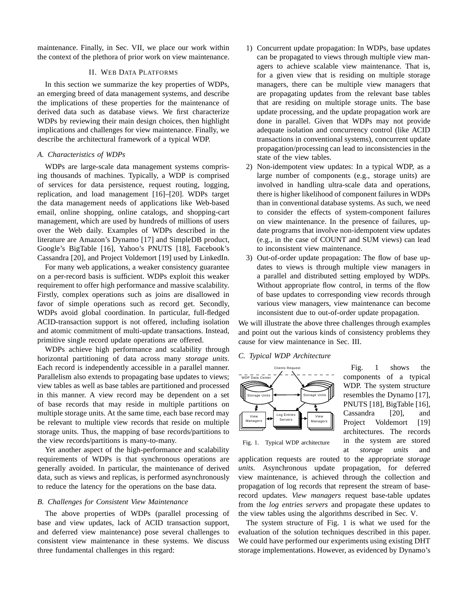maintenance. Finally, in Sec. VII, we place our work within the context of the plethora of prior work on view maintenance.

# II. WEB DATA PLATFORMS

In this section we summarize the key properties of WDPs, an emerging breed of data management systems, and describe the implications of these properties for the maintenance of derived data such as database views. We first characterize WDPs by reviewing their main design choices, then highlight implications and challenges for view maintenance. Finally, we describe the architectural framework of a typical WDP.

## *A. Characteristics of WDPs*

WDPs are large-scale data management systems comprising thousands of machines. Typically, a WDP is comprised of services for data persistence, request routing, logging, replication, and load management [16]–[20]. WDPs target the data management needs of applications like Web-based email, online shopping, online catalogs, and shopping-cart management, which are used by hundreds of millions of users over the Web daily. Examples of WDPs described in the literature are Amazon's Dynamo [17] and SimpleDB product, Google's BigTable [16], Yahoo's PNUTS [18], Facebook's Cassandra [20], and Project Voldemort [19] used by LinkedIn.

For many web applications, a weaker consistency guarantee on a per-record basis is sufficient. WDPs exploit this weaker requirement to offer high performance and massive scalability. Firstly, complex operations such as joins are disallowed in favor of simple operations such as record get. Secondly, WDPs avoid global coordination. In particular, full-fledged ACID-transaction support is not offered, including isolation and atomic commitment of multi-update transactions. Instead, primitive single record update operations are offered.

WDPs achieve high performance and scalability through horizontal partitioning of data across many *storage units*. Each record is independently accessible in a parallel manner. Parallelism also extends to propagating base updates to views; view tables as well as base tables are partitioned and processed in this manner. A view record may be dependent on a set of base records that may reside in multiple partitions on multiple storage units. At the same time, each base record may be relevant to multiple view records that reside on multiple storage units. Thus, the mapping of base records/partitions to the view records/partitions is many-to-many.

Yet another aspect of the high-performance and scalability requirements of WDPs is that synchronous operations are generally avoided. In particular, the maintenance of derived data, such as views and replicas, is performed asynchronously to reduce the latency for the operations on the base data.

#### *B. Challenges for Consistent View Maintenance*

The above properties of WDPs (parallel processing of base and view updates, lack of ACID transaction support, and deferred view maintenance) pose several challenges to consistent view maintenance in these systems. We discuss three fundamental challenges in this regard:

- 1) Concurrent update propagation: In WDPs, base updates can be propagated to views through multiple view managers to achieve scalable view maintenance. That is, for a given view that is residing on multiple storage managers, there can be multiple view managers that are propagating updates from the relevant base tables that are residing on multiple storage units. The base update processing, and the update propagation work are done in parallel. Given that WDPs may not provide adequate isolation and concurrency control (like ACID transactions in conventional systems), concurrent update propagation/processing can lead to inconsistencies in the state of the view tables.
- 2) Non-idempotent view updates: In a typical WDP, as a large number of components (e.g., storage units) are involved in handling ultra-scale data and operations, there is higher likelihood of component failures in WDPs than in conventional database systems. As such, we need to consider the effects of system-component failures on view maintenance. In the presence of failures, update programs that involve non-idempotent view updates (e.g., in the case of COUNT and SUM views) can lead to inconsistent view maintenance.
- 3) Out-of-order update propagation: The flow of base updates to views is through multiple view managers in a parallel and distributed setting employed by WDPs. Without appropriate flow control, in terms of the flow of base updates to corresponding view records through various view managers, view maintenance can become inconsistent due to out-of-order update propagation.

We will illustrate the above three challenges through examples and point out the various kinds of consistency problems they cause for view maintenance in Sec. III.

## *C. Typical WDP Architecture*



Fig. 1 shows the components of a typical WDP. The system structure resembles the Dynamo [17], PNUTS [18], BigTable [16], Cassandra [20], and Project Voldemort [19] architectures. The records in the system are stored at *storage units* and

Fig. 1. Typical WDP architecture

application requests are routed to the appropriate *storage units*. Asynchronous update propagation, for deferred view maintenance, is achieved through the collection and propagation of log records that represent the stream of baserecord updates. *View managers* request base-table updates from the *log entries servers* and propagate these updates to the view tables using the algorithms described in Sec. V.

The system structure of Fig. 1 is what we used for the evaluation of the solution techniques described in this paper. We could have performed our experiments using existing DHT storage implementations. However, as evidenced by Dynamo's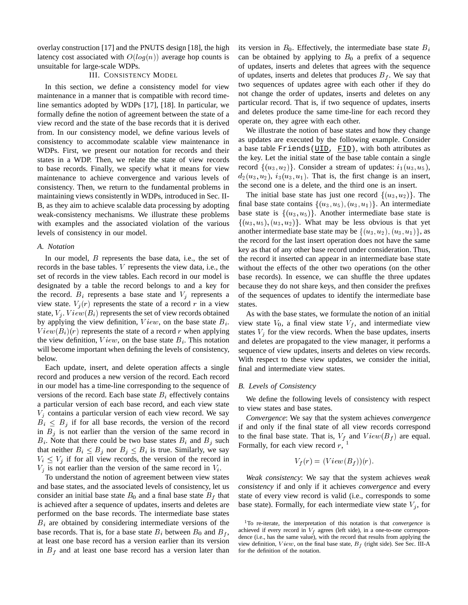overlay construction [17] and the PNUTS design [18], the high latency cost associated with  $O(log(n))$  average hop counts is unsuitable for large-scale WDPs.

# III. CONSISTENCY MODEL

In this section, we define a consistency model for view maintenance in a manner that is compatible with record timeline semantics adopted by WDPs [17], [18]. In particular, we formally define the notion of agreement between the state of a view record and the state of the base records that it is derived from. In our consistency model, we define various levels of consistency to accommodate scalable view maintenance in WDPs. First, we present our notation for records and their states in a WDP. Then, we relate the state of view records to base records. Finally, we specify what it means for view maintenance to achieve convergence and various levels of consistency. Then, we return to the fundamental problems in maintaining views consistently in WDPs, introduced in Sec. II-B, as they aim to achieve scalable data processing by adopting weak-consistency mechanisms. We illustrate these problems with examples and the associated violation of the various levels of consistency in our model.

## *A. Notation*

In our model, *B* represents the base data, i.e., the set of records in the base tables. <sup>V</sup> represents the view data, i.e., the set of records in the view tables. Each record in our model is designated by a table the record belongs to and a key for the record.  $B_i$  represents a base state and  $V_i$  represents a view state.  $V_i(r)$  represents the state of a record r in a view state,  $V_i$ .  $View(B_i)$  represents the set of view records obtained by applying the view definition,  $View$ , on the base state  $B_i$ .  $View(B_i)(r)$  represents the state of a record r when applying the view definition,  $View$ , on the base state  $B_i$ . This notation will become important when defining the levels of consistency, below.

Each update, insert, and delete operation affects a single record and produces a new version of the record. Each record in our model has a time-line corresponding to the sequence of versions of the record. Each base state  $B_i$  effectively contains a particular version of each base record, and each view state  $V_j$  contains a particular version of each view record. We say  $B_i \leq B_j$  if for all base records, the version of the record in  $B_j$  is not earlier than the version of the same record in  $B_i$ . Note that there could be two base states  $B_i$  and  $B_j$  such that neither  $B_i \leq B_j$  nor  $B_j \leq B_i$  is true. Similarly, we say  $V_i \leq V_i$  if for all view records, the version of the record in  $V_i$  is not earlier than the version of the same record in  $V_i$ .

To understand the notion of agreement between view states and base states, and the associated levels of consistency, let us consider an initial base state  $B_0$  and a final base state  $B_f$  that is achieved after a sequence of updates, inserts and deletes are performed on the base records. The intermediate base states  $B_i$  are obtained by considering intermediate versions of the base records. That is, for a base state  $B_i$  between  $B_0$  and  $B_f$ , at least one base record has a version earlier than its version in  $B_f$  and at least one base record has a version later than its version in  $B_0$ . Effectively, the intermediate base state  $B_i$ can be obtained by applying to  $B_0$  a prefix of a sequence of updates, inserts and deletes that agrees with the sequence of updates, inserts and deletes that produces  $B_f$ . We say that two sequences of updates agree with each other if they do not change the order of updates, inserts and deletes on any particular record. That is, if two sequence of updates, inserts and deletes produce the same time-line for each record they operate on, they agree with each other.

We illustrate the notion of base states and how they change as updates are executed by the following example. Consider a base table  $Friends(\overline{UID}, \overline{FID})$ , with both attributes as the key. Let the initial state of the base table contain a single record  $\{(u_3, u_2)\}\$ . Consider a stream of updates:  $i_1(u_3, u_5)$ ,  $d_2(u_3, u_2)$ ,  $i_3(u_3, u_1)$ . That is, the first change is an insert, the second one is a delete, and the third one is an insert.

The initial base state has just one record  $\{(u_3, u_2)\}\.$  The final base state contains  $\{(u_3, u_5), (u_3, u_1)\}\.$  An intermediate base state is  $\{(u_3, u_5)\}\.$  Another intermediate base state is  $\{(u_3, u_5), (u_3, u_2)\}\.$  What may be less obvious is that yet another intermediate base state may be  $\{(u_3, u_2), (u_3, u_1)\}\$ , as the record for the last insert operation does not have the same key as that of any other base record under consideration. Thus, the record it inserted can appear in an intermediate base state without the effects of the other two operations (on the other base records). In essence, we can shuffle the three updates because they do not share keys, and then consider the prefixes of the sequences of updates to identify the intermediate base states.

As with the base states, we formulate the notion of an initial view state  $V_0$ , a final view state  $V_f$ , and intermediate view states  $V_i$  for the view records. When the base updates, inserts and deletes are propagated to the view manager, it performs a sequence of view updates, inserts and deletes on view records. With respect to these view updates, we consider the initial, final and intermediate view states.

## *B. Levels of Consistency*

We define the following levels of consistency with respect to view states and base states.

*Convergence*: We say that the system achieves *convergence* if and only if the final state of all view records correspond to the final base state. That is,  $V_f$  and  $View(B_f)$  are equal. Formally, for each view record  $r<sub>1</sub>$ <sup>1</sup>

$$
V_f(r) = (View(B_f))(r).
$$

*Weak consistency*: We say that the system achieves *weak consistency* if and only if it achieves *convergence* and every state of every view record is valid (i.e., corresponds to some base state). Formally, for each intermediate view state  $V_i$ , for

<sup>1</sup>To re-iterate, the interpretation of this notation is that *convergence* is achieved if every record in  $V_f$  agrees (left side), in a one-to-one correspondence (i.e., has the same value), with the record that results from applying the view definition,  $View$ , on the final base state,  $B_f$  (right side). See Sec. III-A for the definition of the notation.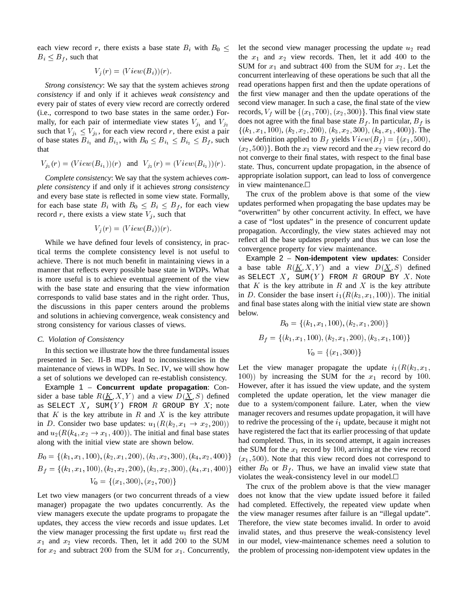each view record r, there exists a base state  $B_i$  with  $B_0 \leq$  $B_i \leq B_f$ , such that

$$
V_j(r) = (View(B_i))(r).
$$

*Strong consistency*: We say that the system achieves *strong consistency* if and only if it achieves *weak consistency* and every pair of states of every view record are correctly ordered (i.e., correspond to two base states in the same order.) Formally, for each pair of intermediate view states  $V_{j_1}$  and  $V_{j_2}$ such that  $V_{j_1} \leq V_{j_2}$ , for each view record r, there exist a pair of base states  $B_{i_1}$  and  $B_{i_2}$ , with  $B_0 \leq B_{i_1} \leq B_{i_2} \leq B_f$ , such that

$$
V_{j_1}(r) = (View(B_{i_1}))(r)
$$
 and  $V_{j_2}(r) = (View(B_{i_2}))(r)$ .

*Complete consistency*: We say that the system achieves *complete consistency* if and only if it achieves *strong consistency* and every base state is reflected in some view state. Formally, for each base state  $B_i$  with  $B_0 \leq B_i \leq B_f$ , for each view record r, there exists a view state  $V_j$ , such that

$$
V_j(r) = (View(B_i))(r).
$$

While we have defined four levels of consistency, in practical terms the complete consistency level is not useful to achieve. There is not much benefit in maintaining views in a manner that reflects every possible base state in WDPs. What is more useful is to achieve eventual agreement of the view with the base state and ensuring that the view information corresponds to valid base states and in the right order. Thus, the discussions in this paper centers around the problems and solutions in achieving convergence, weak consistency and strong consistency for various classes of views.

## *C. Violation of Consistency*

In this section we illustrate how the three fundamental issues presented in Sec. II-B may lead to inconsistencies in the maintenance of views in WDPs. In Sec. IV, we will show how a set of solutions we developed can re-establish consistency.

Example 1 – **Concurrent update propagation**: Consider a base table  $R(K, X, Y)$  and a view  $D(X, S)$  defined as SELECT  $X$ , SUM(Y) FROM  $R$  GROUP BY  $X$ ; note that  $K$  is the key attribute in  $R$  and  $X$  is the key attribute in D. Consider two base updates:  $u_1(R(k_2, x_1 \rightarrow x_2, 200))$ and  $u_2(R(k_4, x_2 \rightarrow x_1, 400))$ . The initial and final base states along with the initial view state are shown below.

$$
B_0 = \{ (k_1, x_1, 100), (k_2, x_1, 200), (k_3, x_2, 300), (k_4, x_2, 400) \}
$$
  
\n
$$
B_f = \{ (k_1, x_1, 100), (k_2, x_2, 200), (k_3, x_2, 300), (k_4, x_1, 400) \}
$$
  
\n
$$
V_0 = \{ (x_1, 300), (x_2, 700) \}
$$

Let two view managers (or two concurrent threads of a view manager) propagate the two updates concurrently. As the view managers execute the update programs to propagate the updates, they access the view records and issue updates. Let the view manager processing the first update  $u_1$  first read the  $x_1$  and  $x_2$  view records. Then, let it add 200 to the SUM for  $x_2$  and subtract 200 from the SUM for  $x_1$ . Concurrently, let the second view manager processing the update  $u_2$  read the  $x_1$  and  $x_2$  view records. Then, let it add 400 to the SUM for  $x_1$  and subtract 400 from the SUM for  $x_2$ . Let the concurrent interleaving of these operations be such that all the read operations happen first and then the update operations of the first view manager and then the update operations of the second view manager. In such a case, the final state of the view records,  $V_f$  will be  $\{(x_1, 700), (x_2, 300)\}\.$  This final view state does not agree with the final base state  $B_f$ . In particular,  $B_f$  is  $\{(k_1, x_1, 100), (k_2, x_2, 200), (k_3, x_2, 300), (k_4, x_1, 400)\}.$  The view definition applied to  $B_f$  yields  $View(B_f) = \{(x_1, 500),$  $(x_2, 500)$ . Both the  $x_1$  view record and the  $x_2$  view record do not converge to their final states, with respect to the final base state. Thus, concurrent update propagation, in the absence of appropriate isolation support, can lead to loss of convergence in view maintenance.

The crux of the problem above is that some of the view updates performed when propagating the base updates may be "overwritten" by other concurrent activity. In effect, we have a case of "lost updates" in the presence of concurrent update propagation. Accordingly, the view states achieved may not reflect all the base updates properly and thus we can lose the convergence property for view maintenance.

Example 2 – **Non-idempotent view updates**: Consider a base table  $R(K, X, Y)$  and a view  $D(X, S)$  defined as SELECT  $X$ , SUM(Y) FROM  $R$  GROUP BY  $X$ . Note that K is the key attribute in R and X is the key attribute in D. Consider the base insert  $i_1(R(k_3, x_1, 100))$ . The initial and final base states along with the initial view state are shown below.

$$
B_0 = \{(k_1, x_1, 100), (k_2, x_1, 200)\}
$$

$$
B_f = \{(k_1, x_1, 100), (k_2, x_1, 200), (k_3, x_1, 100)\}
$$

$$
V_0 = \{(x_1, 300)\}
$$

Let the view manager propagate the update  $i_1(R(k_3, x_1,$ 100)) by increasing the SUM for the  $x_1$  record by 100. However, after it has issued the view update, and the system completed the update operation, let the view manager die due to a system/component failure. Later, when the view manager recovers and resumes update propagation, it will have to redrive the processing of the  $i_1$  update, because it might not have registered the fact that its earlier processing of that update had completed. Thus, in its second attempt, it again increases the SUM for the  $x_1$  record by 100, arriving at the view record  $(x_1, 500)$ . Note that this view record does not correspond to either  $B_0$  or  $B_f$ . Thus, we have an invalid view state that violates the weak-consistency level in our model.

The crux of the problem above is that the view manager does not know that the view update issued before it failed had completed. Effectively, the repeated view update when the view manager resumes after failure is an "illegal update". Therefore, the view state becomes invalid. In order to avoid invalid states, and thus preserve the weak-consistency level in our model, view-maintenance schemes need a solution to the problem of processing non-idempotent view updates in the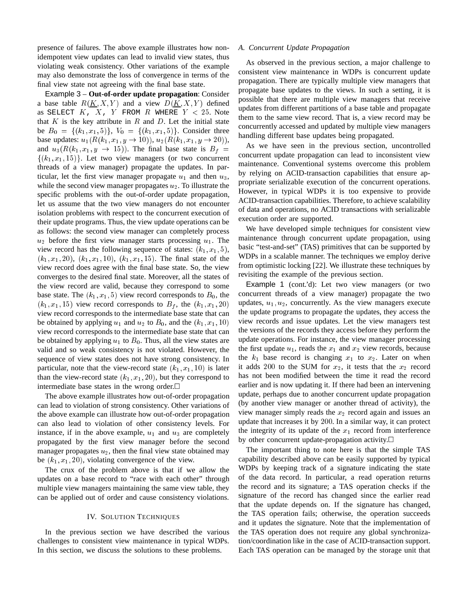presence of failures. The above example illustrates how nonidempotent view updates can lead to invalid view states, thus violating weak consistency. Other variations of the example may also demonstrate the loss of convergence in terms of the final view state not agreeing with the final base state.

Example 3 – **Out-of-order update propagation**: Consider a base table  $R(K, X, Y)$  and a view  $D(K, X, Y)$  defined as SELECT  $K$ ,  $X$ ,  $Y$  FROM  $R$  WHERE  $Y$  < 25. Note that  $K$  is the key attribute in  $R$  and  $D$ . Let the initial state be  $B_0 = \{(k_1, x_1, 5)\}\,$ ,  $V_0 = \{(k_1, x_1, 5)\}\$ . Consider three base updates:  $u_1(R(k_1, x_1, y \rightarrow 10))$ ,  $u_2(R(k_1, x_1, y \rightarrow 20))$ , and  $u_3(R(k_1, x_1, y \rightarrow 15))$ . The final base state is  $B_f =$  $\{(k_1, x_1, 15)\}\.$  Let two view managers (or two concurrent threads of a view manager) propagate the updates. In particular, let the first view manager propagate  $u_1$  and then  $u_3$ , while the second view manager propagates  $u_2$ . To illustrate the specific problems with the out-of-order update propagation, let us assume that the two view managers do not encounter isolation problems with respect to the concurrent execution of their update programs. Thus, the view update operations can be as follows: the second view manager can completely process  $u_2$  before the first view manager starts processing  $u_1$ . The view record has the following sequence of states:  $(k_1, x_1, 5)$ ,  $(k_1, x_1, 20)$ ,  $(k_1, x_1, 10)$ ,  $(k_1, x_1, 15)$ . The final state of the view record does agree with the final base state. So, the view converges to the desired final state. Moreover, all the states of the view record are valid, because they correspond to some base state. The  $(k_1, x_1, 5)$  view record corresponds to  $B_0$ , the  $(k_1, x_1, 15)$  view record corresponds to  $B_f$ , the  $(k_1, x_1, 20)$ view record corresponds to the intermediate base state that can be obtained by applying  $u_1$  and  $u_2$  to  $B_0$ , and the  $(k_1, x_1, 10)$ view record corresponds to the intermediate base state that can be obtained by applying  $u_1$  to  $B_0$ . Thus, all the view states are valid and so weak consistency is not violated. However, the sequence of view states does not have strong consistency. In particular, note that the view-record state  $(k_1, x_1, 10)$  is later than the view-record state  $(k_1, x_1, 20)$ , but they correspond to intermediate base states in the wrong order.

The above example illustrates how out-of-order propagation can lead to violation of strong consistency. Other variations of the above example can illustrate how out-of-order propagation can also lead to violation of other consistency levels. For instance, if in the above example,  $u_1$  and  $u_3$  are completely propagated by the first view manager before the second manager propagates  $u_2$ , then the final view state obtained may be  $(k_1, x_1, 20)$ , violating convergence of the view.

The crux of the problem above is that if we allow the updates on a base record to "race with each other" through multiple view managers maintaining the same view table, they can be applied out of order and cause consistency violations.

## IV. SOLUTION TECHNIQUES

In the previous section we have described the various challenges to consistent view maintenance in typical WDPs. In this section, we discuss the solutions to these problems.

## *A. Concurrent Update Propagation*

As observed in the previous section, a major challenge to consistent view maintenance in WDPs is concurrent update propagation. There are typically multiple view managers that propagate base updates to the views. In such a setting, it is possible that there are multiple view managers that receive updates from different partitions of a base table and propagate them to the same view record. That is, a view record may be concurrently accessed and updated by multiple view managers handling different base updates being propagated.

As we have seen in the previous section, uncontrolled concurrent update propagation can lead to inconsistent view maintenance. Conventional systems overcome this problem by relying on ACID-transaction capabilities that ensure appropriate serializable execution of the concurrent operations. However, in typical WDPs it is too expensive to provide ACID-transaction capabilities. Therefore, to achieve scalability of data and operations, no ACID transactions with serializable execution order are supported.

We have developed simple techniques for consistent view maintenance through concurrent update propagation, using basic "test-and-set" (TAS) primitives that can be supported by WDPs in a scalable manner. The techniques we employ derive from optimistic locking [22]. We illustrate these techniques by revisiting the example of the previous section.

Example 1 (cont.'d): Let two view managers (or two concurrent threads of a view manager) propagate the two updates,  $u_1, u_2$ , concurrently. As the view managers execute the update programs to propagate the updates, they access the view records and issue updates. Let the view managers test the versions of the records they access before they perform the update operations. For instance, the view manager processing the first update  $u_1$ , reads the  $x_1$  and  $x_2$  view records, because the  $k_1$  base record is changing  $x_1$  to  $x_2$ . Later on when it adds 200 to the SUM for  $x_2$ , it tests that the  $x_2$  record has not been modified between the time it read the record earlier and is now updating it. If there had been an intervening update, perhaps due to another concurrent update propagation (by another view manager or another thread of activity), the view manager simply reads the  $x_2$  record again and issues an update that increases it by <sup>200</sup>. In a similar way, it can protect the integrity of its update of the  $x_1$  record from interference by other concurrent update-propagation activity.

The important thing to note here is that the simple TAS capability described above can be easily supported by typical WDPs by keeping track of a signature indicating the state of the data record. In particular, a read operation returns the record and its signature; a TAS operation checks if the signature of the record has changed since the earlier read that the update depends on. If the signature has changed, the TAS operation fails; otherwise, the operation succeeds and it updates the signature. Note that the implementation of the TAS operation does not require any global synchronization/coordination like in the case of ACID-transaction support. Each TAS operation can be managed by the storage unit that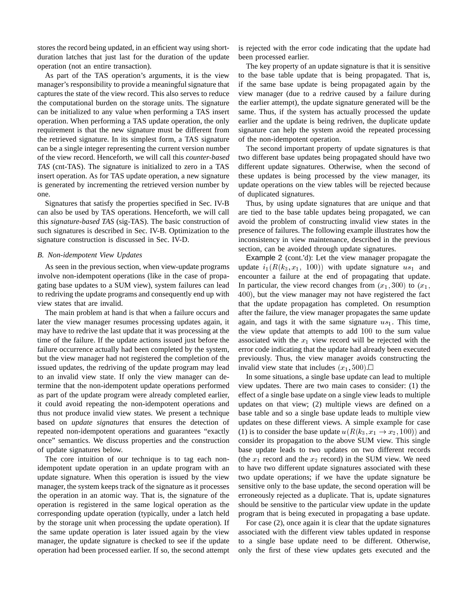stores the record being updated, in an efficient way using shortduration latches that just last for the duration of the update operation (not an entire transaction).

As part of the TAS operation's arguments, it is the view manager's responsibility to provide a meaningful signature that captures the state of the view record. This also serves to reduce the computational burden on the storage units. The signature can be initialized to any value when performing a TAS insert operation. When performing a TAS update operation, the only requirement is that the new signature must be different from the retrieved signature. In its simplest form, a TAS signature can be a single integer representing the current version number of the view record. Henceforth, we will call this *counter-based TAS* (cnt-TAS). The signature is initialized to zero in a TAS insert operation. As for TAS update operation, a new signature is generated by incrementing the retrieved version number by one.

Signatures that satisfy the properties specified in Sec. IV-B can also be used by TAS operations. Henceforth, we will call this *signature-based TAS* (sig-TAS). The basic construction of such signatures is described in Sec. IV-B. Optimization to the signature construction is discussed in Sec. IV-D.

## *B. Non-idempotent View Updates*

As seen in the previous section, when view-update programs involve non-idempotent operations (like in the case of propagating base updates to a SUM view), system failures can lead to redriving the update programs and consequently end up with view states that are invalid.

The main problem at hand is that when a failure occurs and later the view manager resumes processing updates again, it may have to redrive the last update that it was processing at the time of the failure. If the update actions issued just before the failure occurrence actually had been completed by the system, but the view manager had not registered the completion of the issued updates, the redriving of the update program may lead to an invalid view state. If only the view manager can determine that the non-idempotent update operations performed as part of the update program were already completed earlier, it could avoid repeating the non-idempotent operations and thus not produce invalid view states. We present a technique based on *update signatures* that ensures the detection of repeated non-idempotent operations and guarantees "exactly once" semantics. We discuss properties and the construction of update signatures below.

The core intuition of our technique is to tag each nonidempotent update operation in an update program with an update signature. When this operation is issued by the view manager, the system keeps track of the signature as it processes the operation in an atomic way. That is, the signature of the operation is registered in the same logical operation as the corresponding update operation (typically, under a latch held by the storage unit when processing the update operation). If the same update operation is later issued again by the view manager, the update signature is checked to see if the update operation had been processed earlier. If so, the second attempt

is rejected with the error code indicating that the update had been processed earlier.

The key property of an update signature is that it is sensitive to the base table update that is being propagated. That is, if the same base update is being propagated again by the view manager (due to a redrive caused by a failure during the earlier attempt), the update signature generated will be the same. Thus, if the system has actually processed the update earlier and the update is being redriven, the duplicate update signature can help the system avoid the repeated processing of the non-idempotent operation.

The second important property of update signatures is that two different base updates being propagated should have two different update signatures. Otherwise, when the second of these updates is being processed by the view manager, its update operations on the view tables will be rejected because of duplicated signatures.

Thus, by using update signatures that are unique and that are tied to the base table updates being propagated, we can avoid the problem of constructing invalid view states in the presence of failures. The following example illustrates how the inconsistency in view maintenance, described in the previous section, can be avoided through update signatures.

Example 2 (cont.'d): Let the view manager propagate the update  $i_1(R(k_3, x_1, 100))$  with update signature  $us_1$  and encounter a failure at the end of propagating that update. In particular, the view record changes from  $(x_1, 300)$  to  $(x_1,$ 400), but the view manager may not have registered the fact that the update propagation has completed. On resumption after the failure, the view manager propagates the same update again, and tags it with the same signature  $us_1$ . This time, the view update that attempts to add <sup>100</sup> to the sum value associated with the  $x_1$  view record will be rejected with the error code indicating that the update had already been executed previously. Thus, the view manager avoids constructing the invalid view state that includes  $(x_1, 500)$ .

In some situations, a single base update can lead to multiple view updates. There are two main cases to consider: (1) the effect of a single base update on a single view leads to multiple updates on that view; (2) multiple views are defined on a base table and so a single base update leads to multiple view updates on these different views. A simple example for case (1) is to consider the base update  $u(R(k_3, x_1 \rightarrow x_2, 100))$  and consider its propagation to the above SUM view. This single base update leads to two updates on two different records (the  $x_1$  record and the  $x_2$  record) in the SUM view. We need to have two different update signatures associated with these two update operations; if we have the update signature be sensitive only to the base update, the second operation will be erroneously rejected as a duplicate. That is, update signatures should be sensitive to the particular view update in the update program that is being executed in propagating a base update.

For case (2), once again it is clear that the update signatures associated with the different view tables updated in response to a single base update need to be different. Otherwise, only the first of these view updates gets executed and the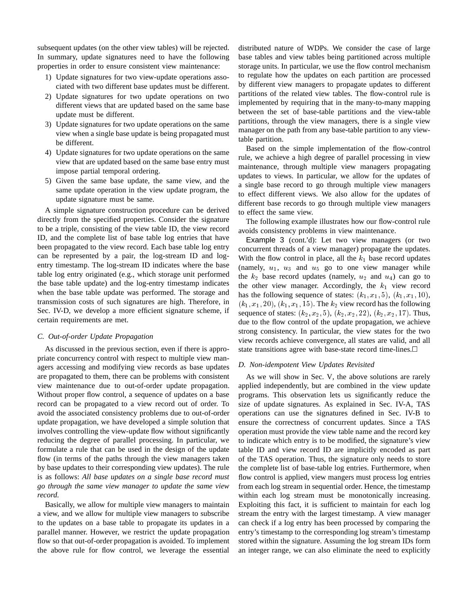subsequent updates (on the other view tables) will be rejected. In summary, update signatures need to have the following properties in order to ensure consistent view maintenance:

- 1) Update signatures for two view-update operations associated with two different base updates must be different.
- 2) Update signatures for two update operations on two different views that are updated based on the same base update must be different.
- 3) Update signatures for two update operations on the same view when a single base update is being propagated must be different.
- 4) Update signatures for two update operations on the same view that are updated based on the same base entry must impose partial temporal ordering.
- 5) Given the same base update, the same view, and the same update operation in the view update program, the update signature must be same.

A simple signature construction procedure can be derived directly from the specified properties. Consider the signature to be a triple, consisting of the view table ID, the view record ID, and the complete list of base table log entries that have been propagated to the view record. Each base table log entry can be represented by a pair, the log-stream ID and logentry timestamp. The log-stream ID indicates where the base table log entry originated (e.g., which storage unit performed the base table update) and the log-entry timestamp indicates when the base table update was performed. The storage and transmission costs of such signatures are high. Therefore, in Sec. IV-D, we develop a more efficient signature scheme, if certain requirements are met.

# *C. Out-of-order Update Propagation*

As discussed in the previous section, even if there is appropriate concurrency control with respect to multiple view managers accessing and modifying view records as base updates are propagated to them, there can be problems with consistent view maintenance due to out-of-order update propagation. Without proper flow control, a sequence of updates on a base record can be propagated to a view record out of order. To avoid the associated consistency problems due to out-of-order update propagation, we have developed a simple solution that involves controlling the view-update flow without significantly reducing the degree of parallel processing. In particular, we formulate a rule that can be used in the design of the update flow (in terms of the paths through the view managers taken by base updates to their corresponding view updates). The rule is as follows: *All base updates on a single base record must go through the same view manager to update the same view record.*

Basically, we allow for multiple view managers to maintain a view, and we allow for multiple view managers to subscribe to the updates on a base table to propagate its updates in a parallel manner. However, we restrict the update propagation flow so that out-of-order propagation is avoided. To implement the above rule for flow control, we leverage the essential

distributed nature of WDPs. We consider the case of large base tables and view tables being partitioned across multiple storage units. In particular, we use the flow control mechanism to regulate how the updates on each partition are processed by different view managers to propagate updates to different partitions of the related view tables. The flow-control rule is implemented by requiring that in the many-to-many mapping between the set of base-table partitions and the view-table partitions, through the view managers, there is a single view manager on the path from any base-table partition to any viewtable partition.

Based on the simple implementation of the flow-control rule, we achieve a high degree of parallel processing in view maintenance, through multiple view managers propagating updates to views. In particular, we allow for the updates of a single base record to go through multiple view managers to effect different views. We also allow for the updates of different base records to go through multiple view managers to effect the same view.

The following example illustrates how our flow-control rule avoids consistency problems in view maintenance.

Example 3 (cont.'d): Let two view managers (or two concurrent threads of a view manager) propagate the updates. With the flow control in place, all the  $k_1$  base record updates (namely,  $u_1$ ,  $u_3$  and  $u_5$  go to one view manager while the  $k_2$  base record updates (namely,  $u_2$  and  $u_4$ ) can go to the other view manager. Accordingly, the  $k_1$  view record has the following sequence of states:  $(k_1, x_1, 5)$ ,  $(k_1, x_1, 10)$ ,  $(k_1, x_1, 20)$ ,  $(k_1, x_1, 15)$ . The  $k_2$  view record has the following sequence of states:  $(k_2, x_2, 5)$ ,  $(k_2, x_2, 22)$ ,  $(k_2, x_2, 17)$ . Thus, due to the flow control of the update propagation, we achieve strong consistency. In particular, the view states for the two view records achieve convergence, all states are valid, and all state transitions agree with base-state record time-lines.

# *D. Non-idempotent View Updates Revisited*

As we will show in Sec. V, the above solutions are rarely applied independently, but are combined in the view update programs. This observation lets us significantly reduce the size of update signatures. As explained in Sec. IV-A, TAS operations can use the signatures defined in Sec. IV-B to ensure the correctness of concurrent updates. Since a TAS operation must provide the view table name and the record key to indicate which entry is to be modified, the signature's view table ID and view record ID are implicitly encoded as part of the TAS operation. Thus, the signature only needs to store the complete list of base-table log entries. Furthermore, when flow control is applied, view mangers must process log entries from each log stream in sequential order. Hence, the timestamp within each log stream must be monotonically increasing. Exploiting this fact, it is sufficient to maintain for each log stream the entry with the largest timestamp. A view manager can check if a log entry has been processed by comparing the entry's timestamp to the corresponding log stream's timestamp stored within the signature. Assuming the log stream IDs form an integer range, we can also eliminate the need to explicitly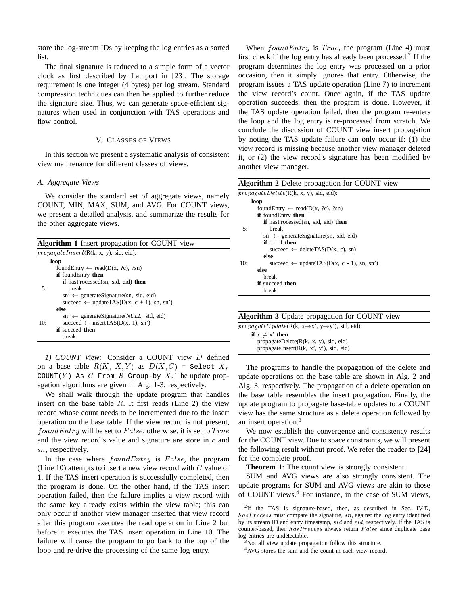store the log-stream IDs by keeping the log entries as a sorted list.

The final signature is reduced to a simple form of a vector clock as first described by Lamport in [23]. The storage requirement is one integer (4 bytes) per log stream. Standard compression techniques can then be applied to further reduce the signature size. Thus, we can generate space-efficient signatures when used in conjunction with TAS operations and flow control.

#### V. CLASSES OF VIEWS

In this section we present a systematic analysis of consistent view maintenance for different classes of views.

#### *A. Aggregate Views*

We consider the standard set of aggregate views, namely COUNT, MIN, MAX, SUM, and AVG. For COUNT views, we present a detailed analysis, and summarize the results for the other aggregate views.

| <b>Algorithm 1</b> Insert propagation for COUNT view |                                                                                     |  |  |  |  |
|------------------------------------------------------|-------------------------------------------------------------------------------------|--|--|--|--|
|                                                      | propagateInsert(R(k, x, y), sid, ed):                                               |  |  |  |  |
|                                                      | loop                                                                                |  |  |  |  |
|                                                      | foundEntry $\leftarrow$ read(D(x, ?c), ?sn)                                         |  |  |  |  |
|                                                      | <b>if</b> found Entry then                                                          |  |  |  |  |
|                                                      | <b>if</b> hasProcessed(sn, sid, eid) <b>then</b>                                    |  |  |  |  |
| 5:                                                   | break                                                                               |  |  |  |  |
|                                                      | $\text{sn}' \leftarrow \text{generateSignature}(\text{sn}, \text{sid}, \text{eid})$ |  |  |  |  |
|                                                      | succeed $\leftarrow$ updateTAS(D(x, c + 1), sn, sn')                                |  |  |  |  |
|                                                      | else                                                                                |  |  |  |  |
|                                                      | $\text{sn'} \leftarrow \text{generateSignature}(NULL, \text{sid}, \text{eid})$      |  |  |  |  |
| 10:                                                  | succeed $\leftarrow$ insertTAS(D(x, 1), sn')                                        |  |  |  |  |
|                                                      | <b>if</b> succeed <b>then</b>                                                       |  |  |  |  |
|                                                      | break                                                                               |  |  |  |  |

*1) COUNT View:* Consider a COUNT view <sup>D</sup> defined on a base table  $R(K, X, Y)$  as  $D(X, C)$  = Select X, COUNT(Y) As  $C$  From  $R$  Group-by  $X$ . The update propagation algorithms are given in Alg. 1-3, respectively.

We shall walk through the update program that handles insert on the base table  $R$ . It first reads (Line 2) the view record whose count needs to be incremented due to the insert operation on the base table. If the view record is not present,  $foundEntry$  will be set to  $False$ ; otherwise, it is set to  $True$ and the view record's value and signature are store in  $c$  and sn, respectively.

In the case where  $foundEntry$  is  $False$ , the program (Line 10) attempts to insert a new view record with  $C$  value of 1. If the TAS insert operation is successfully completed, then the program is done. On the other hand, if the TAS insert operation failed, then the failure implies a view record with the same key already exists within the view table; this can only occur if another view manager inserted that view record after this program executes the read operation in Line 2 but before it executes the TAS insert operation in Line 10. The failure will cause the program to go back to the top of the loop and re-drive the processing of the same log entry.

When  $foundEntry$  is  $True$ , the program (Line 4) must first check if the log entry has already been processed.<sup>2</sup> If the program determines the log entry was processed on a prior occasion, then it simply ignores that entry. Otherwise, the program issues a TAS update operation (Line 7) to increment the view record's count. Once again, if the TAS update operation succeeds, then the program is done. However, if the TAS update operation failed, then the program re-enters the loop and the log entry is re-processed from scratch. We conclude the discussion of COUNT view insert propagation by noting the TAS update failure can only occur if: (1) the view record is missing because another view manager deleted it, or (2) the view record's signature has been modified by another view manager.

| <b>Algorithm 2</b> Delete propagation for COUNT view |                                                                                     |  |  |  |
|------------------------------------------------------|-------------------------------------------------------------------------------------|--|--|--|
|                                                      | propagateDelete(R(k, x, y), sid, ed):                                               |  |  |  |
|                                                      | loop                                                                                |  |  |  |
|                                                      | foundEntry $\leftarrow$ read(D(x, ?c), ?sn)                                         |  |  |  |
|                                                      | <b>if</b> found Entry then                                                          |  |  |  |
|                                                      | <b>if</b> hasProcessed(sn, sid, eid) <b>then</b>                                    |  |  |  |
| 5:                                                   | break                                                                               |  |  |  |
|                                                      | $\text{sn'} \leftarrow \text{generateSignature}(\text{sn}, \text{sid}, \text{eid})$ |  |  |  |
|                                                      | if $c = 1$ then                                                                     |  |  |  |
|                                                      | succeed $\leftarrow$ deleteTAS(D(x, c), sn)                                         |  |  |  |
|                                                      | else                                                                                |  |  |  |
| 10:                                                  | succeed $\leftarrow$ updateTAS(D(x, c - 1), sn, sn')                                |  |  |  |
|                                                      | else                                                                                |  |  |  |
|                                                      | break                                                                               |  |  |  |
|                                                      | <b>if</b> succeed <b>then</b>                                                       |  |  |  |
|                                                      | break                                                                               |  |  |  |

|  | Algorithm 3 Update propagation for COUNT view |  |  |  |  |  |  |  |
|--|-----------------------------------------------|--|--|--|--|--|--|--|
|--|-----------------------------------------------|--|--|--|--|--|--|--|

 $propagateUpdate(R(k, x \rightarrow x', y \rightarrow y'), sid, ed):$ **if**  $x \neq x'$  **then** propagateDelete(R(k, x, y), sid, eid) propagateInsert(R(k, x', y'), sid, eid)

The programs to handle the propagation of the delete and update operations on the base table are shown in Alg. 2 and Alg. 3, respectively. The propagation of a delete operation on the base table resembles the insert propagation. Finally, the update program to propagate base-table updates to a COUNT view has the same structure as a delete operation followed by an insert operation.<sup>3</sup>

We now establish the convergence and consistency results for the COUNT view. Due to space constraints, we will present the following result without proof. We refer the reader to [24] for the complete proof.

**Theorem 1**: The count view is strongly consistent.

SUM and AVG views are also strongly consistent. The update programs for SUM and AVG views are akin to those of COUNT views.<sup>4</sup> For instance, in the case of SUM views,

<sup>2</sup>If the TAS is signature-based, then, as described in Sec. IV-D, has Process must compare the signature, sn, against the log entry identified by its stream ID and entry timestamp, sid and eid, respectively. If the TAS is counter-based, then has Process always return False since duplicate base log entries are undetectable.

<sup>3</sup>Not all view update propagation follow this structure.

<sup>4</sup>AVG stores the sum and the count in each view record.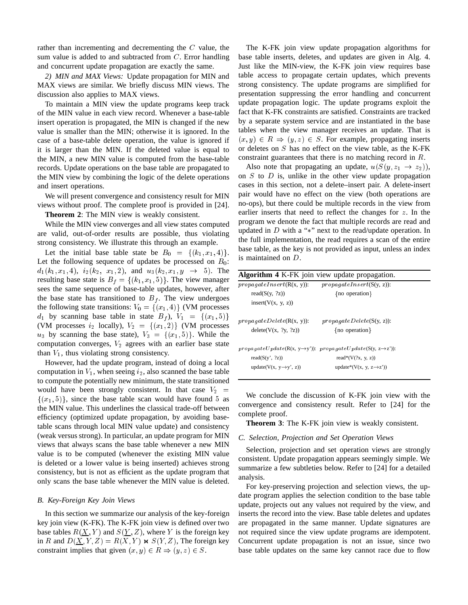rather than incrementing and decrementing the <sup>C</sup> value, the sum value is added to and subtracted from <sup>C</sup>. Error handling and concurrent update propagation are exactly the same.

*2) MIN and MAX Views:* Update propagation for MIN and MAX views are similar. We briefly discuss MIN views. The discussion also applies to MAX views.

To maintain a MIN view the update programs keep track of the MIN value in each view record. Whenever a base-table insert operation is propagated, the MIN is changed if the new value is smaller than the MIN; otherwise it is ignored. In the case of a base-table delete operation, the value is ignored if it is larger than the MIN. If the deleted value is equal to the MIN, a new MIN value is computed from the base-table records. Update operations on the base table are propagated to the MIN view by combining the logic of the delete operations and insert operations.

We will present convergence and consistency result for MIN views without proof. The complete proof is provided in [24].

**Theorem 2**: The MIN view is weakly consistent.

While the MIN view converges and all view states computed are valid, out-of-order results are possible, thus violating strong consistency. We illustrate this through an example.

Let the initial base table state be  $B_0 = \{(k_1, x_1, 4)\}.$ Let the following sequence of updates be processed on  $B_0$ :  $d_1(k_1, x_1, 4), i_2(k_2, x_1, 2),$  and  $u_3(k_2, x_1, y \rightarrow 5)$ . The resulting base state is  $B_f = \{(k_1, x_1, 5)\}\.$  The view manager sees the same sequence of base-table updates, however, after the base state has transitioned to  $B_f$ . The view undergoes the following state transitions:  $V_0 = \{(x_1, 4)\}$  (VM processes  $d_1$  by scanning base table in state  $B_f$ ,  $V_1 = \{(x_1, 5)\}\$ (VM processes  $i_2$  locally),  $V_2 = \{(x_1, 2)\}\)$  (VM processes  $u_3$  by scanning the base state),  $V_3 = \{(x_1, 5)\}\.$  While the computation converges,  $V_2$  agrees with an earlier base state than  $V_1$ , thus violating strong consistency.

However, had the update program, instead of doing a local computation in  $V_1$ , when seeing  $i_2$ , also scanned the base table to compute the potentially new minimum, the state transitioned would have been strongly consistent. In that case  $V_2$  =  $\{(x_1, 5)\}\$ , since the base table scan would have found 5 as the MIN value. This underlines the classical trade-off between efficiency (optimized update propagation, by avoiding basetable scans through local MIN value update) and consistency (weak versus strong). In particular, an update program for MIN views that always scans the base table whenever a new MIN value is to be computed (whenever the existing MIN value is deleted or a lower value is being inserted) achieves strong consistency, but is not as efficient as the update program that only scans the base table whenever the MIN value is deleted.

# *B. Key-Foreign Key Join Views*

In this section we summarize our analysis of the key-foreign key join view (K-FK). The K-FK join view is defined over two base tables  $R(\underline{X}, Y)$  and  $S(\underline{Y}, Z)$ , where Y is the foreign key in R and  $D(\underline{X}, Y, Z) = R(X, Y) \bowtie S(Y, Z)$ , The foreign key constraint implies that given  $(x, y) \in R \Rightarrow (y, z) \in S$ .

The K-FK join view update propagation algorithms for base table inserts, deletes, and updates are given in Alg. 4. Just like the MIN-view, the K-FK join view requires base table access to propagate certain updates, which prevents strong consistency. The update programs are simplified for presentation suppressing the error handling and concurrent update propagation logic. The update programs exploit the fact that K-FK constraints are satisfied. Constraints are tracked by a separate system service and are instantiated in the base tables when the view manager receives an update. That is  $(x, y) \in R \Rightarrow (y, z) \in S$ . For example, propagating inserts or deletes on <sup>S</sup> has no effect on the view table, as the K-FK constraint guarantees that there is no matching record in <sup>R</sup>.

Also note that propagating an update,  $u(S(y, z_1 \rightarrow z_2))$ , on  $S$  to  $D$  is, unlike in the other view update propagation cases in this section, not a delete–insert pair. A delete-insert pair would have no effect on the view (both operations are no-ops), but there could be multiple records in the view from earlier inserts that need to reflect the changes for <sup>z</sup>. In the program we denote the fact that multiple records are read and updated in  $D$  with a "\*" next to the read/update operation. In the full implementation, the read requires a scan of the entire base table, as the key is not provided as input, unless an index is maintained on <sup>D</sup>.

| <b>Algorithm 4 K-FK</b> join view update propagation.                   |                                                                                                                                                          |  |  |  |  |
|-------------------------------------------------------------------------|----------------------------------------------------------------------------------------------------------------------------------------------------------|--|--|--|--|
| $propagateInsert(R(x, y))$ :<br>read $(S(y, ?z))$<br>insert(V(x, y, z)) | $propagateInsert(S(y, z))$ :<br>{no operation}                                                                                                           |  |  |  |  |
| $propagateDelete(R(x, y))$ :<br>delete(V(x, ?y, ?z))                    | $propagateDelete(S(y, z))$ :<br>{no operation}                                                                                                           |  |  |  |  |
| read $(S(y', ?z))$<br>update( $V(x, y \rightarrow y', z)$ )             | $propagateUpdate(R(x, y \rightarrow y'))$ : propagateUpdate(S(y, z $\rightarrow$ z')):<br>read*( $V($ ?x, y, z))<br>update*(V(x, y, z $\rightarrow$ z')) |  |  |  |  |

We conclude the discussion of K-FK join view with the convergence and consistency result. Refer to [24] for the complete proof.

**Theorem 3**: The K-FK join view is weakly consistent.

#### *C. Selection, Projection and Set Operation Views*

Selection, projection and set operation views are strongly consistent. Update propagation appears seemingly simple. We summarize a few subtleties below. Refer to [24] for a detailed analysis.

For key-preserving projection and selection views, the update program applies the selection condition to the base table update, projects out any values not required by the view, and inserts the record into the view. Base table deletes and updates are propagated in the same manner. Update signatures are not required since the view update programs are idempotent. Concurrent update propagation is not an issue, since two base table updates on the same key cannot race due to flow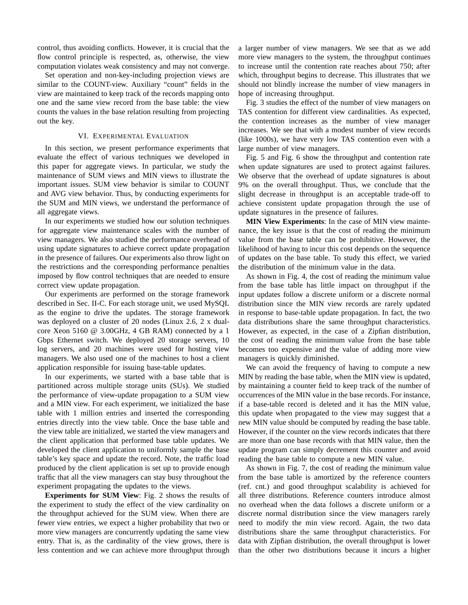control, thus avoiding conflicts. However, it is crucial that the flow control principle is respected, as, otherwise, the view computation violates weak consistency and may not converge.

Set operation and non-key-including projection views are similar to the COUNT-view. Auxiliary "count" fields in the view are maintained to keep track of the records mapping onto one and the same view record from the base table: the view counts the values in the base relation resulting from projecting out the key.

#### VI. EXPERIMENTAL EVALUATION

In this section, we present performance experiments that evaluate the effect of various techniques we developed in this paper for aggregate views. In particular, we study the maintenance of SUM views and MIN views to illustrate the important issues. SUM view behavior is similar to COUNT and AVG view behavior. Thus, by conducting experiments for the SUM and MIN views, we understand the performance of all aggregate views.

In our experiments we studied how our solution techniques for aggregate view maintenance scales with the number of view managers. We also studied the performance overhead of using update signatures to achieve correct update propagation in the presence of failures. Our experiments also throw light on the restrictions and the corresponding performance penalties imposed by flow control techniques that are needed to ensure correct view update propagation.

Our experiments are performed on the storage framework described in Sec. II-C. For each storage unit, we used MySQL as the engine to drive the updates. The storage framework was deployed on a cluster of 20 nodes (Linux 2.6, 2 x dualcore Xeon 5160 @ 3.00GHz, 4 GB RAM) connected by a 1 Gbps Ethernet switch. We deployed 20 storage servers, 10 log servers, and 20 machines were used for hosting view managers. We also used one of the machines to host a client application responsible for issuing base-table updates.

In our experiments, we started with a base table that is partitioned across multiple storage units (SUs). We studied the performance of view-update propagation to a SUM view and a MIN view. For each experiment, we initialized the base table with 1 million entries and inserted the corresponding entries directly into the view table. Once the base table and the view table are initialized, we started the view managers and the client application that performed base table updates. We developed the client application to uniformly sample the base table's key space and update the record. Note, the traffic load produced by the client application is set up to provide enough traffic that all the view managers can stay busy throughout the experiment propagating the updates to the views.

**Experiments for SUM View**: Fig. 2 shows the results of the experiment to study the effect of the view cardinality on the throughput achieved for the SUM view. When there are fewer view entries, we expect a higher probability that two or more view managers are concurrently updating the same view entry. That is, as the cardinality of the view grows, there is less contention and we can achieve more throughput through

a larger number of view managers. We see that as we add more view managers to the system, the throughput continues to increase until the contention rate reaches about 750; after which, throughput begins to decrease. This illustrates that we should not blindly increase the number of view managers in hope of increasing throughput.

Fig. 3 studies the effect of the number of view managers on TAS contention for different view cardinalities. As expected, the contention increases as the number of view manager increases. We see that with a modest number of view records (like 1000s), we have very low TAS contention even with a large number of view managers.

Fig. 5 and Fig. 6 show the throughput and contention rate when update signatures are used to protect against failures. We observe that the overhead of update signatures is about 9% on the overall throughput. Thus, we conclude that the slight decrease in throughput is an acceptable trade-off to achieve consistent update propagation through the use of update signatures in the presence of failures.

**MIN View Experiments**: In the case of MIN view maintenance, the key issue is that the cost of reading the minimum value from the base table can be prohibitive. However, the likelihood of having to incur this cost depends on the sequence of updates on the base table. To study this effect, we varied the distribution of the minimum value in the data.

As shown in Fig. 4, the cost of reading the minimum value from the base table has little impact on throughput if the input updates follow a discrete uniform or a discrete normal distribution since the MIN view records are rarely updated in response to base-table update propagation. In fact, the two data distributions share the same throughput characteristics. However, as expected, in the case of a Zipfian distribution, the cost of reading the minimum value from the base table becomes too expensive and the value of adding more view managers is quickly diminished.

We can avoid the frequency of having to compute a new MIN by reading the base table, when the MIN view is updated, by maintaining a counter field to keep track of the number of occurrences of the MIN value in the base records. For instance, if a base-table record is deleted and it has the MIN value, this update when propagated to the view may suggest that a new MIN value should be computed by reading the base table. However, if the counter on the view records indicates that there are more than one base records with that MIN value, then the update program can simply decrement this counter and avoid reading the base table to compute a new MIN value.

As shown in Fig. 7, the cost of reading the minimum value from the base table is amortized by the reference counters (ref. cnt.) and good throughput scalability is achieved for all three distributions. Reference counters introduce almost no overhead when the data follows a discrete uniform or a discrete normal distribution since the view managers rarely need to modify the min view record. Again, the two data distributions share the same throughput characteristics. For data with Zipfian distribution, the overall throughput is lower than the other two distributions because it incurs a higher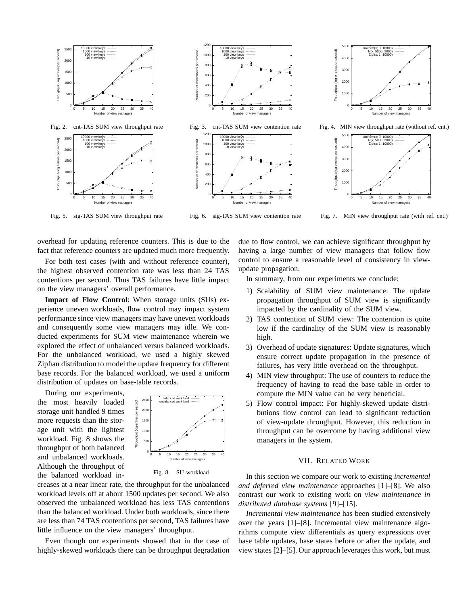

Fig. 5. sig-TAS SUM view throughput rate

Fig. 6. sig-TAS SUM view contention rate

Fig. 7. MIN view throughput rate (with ref. cnt.)

overhead for updating reference counters. This is due to the fact that reference counters are updated much more frequently.

For both test cases (with and without reference counter), the highest observed contention rate was less than 24 TAS contentions per second. Thus TAS failures have little impact on the view managers' overall performance.

**Impact of Flow Control**: When storage units (SUs) experience uneven workloads, flow control may impact system performance since view managers may have uneven workloads and consequently some view managers may idle. We conducted experiments for SUM view maintenance wherein we explored the effect of unbalanced versus balanced workloads. For the unbalanced workload, we used a highly skewed Zipfian distribution to model the update frequency for different base records. For the balanced workload, we used a uniform distribution of updates on base-table records.

During our experiments, the most heavily loaded storage unit handled 9 times more requests than the storage unit with the lightest workload. Fig. 8 shows the throughput of both balanced and unbalanced workloads. Although the throughput of the balanced workload in-



Fig. 8. SU workload

creases at a near linear rate, the throughput for the unbalanced workload levels off at about 1500 updates per second. We also observed the unbalanced workload has less TAS contentions than the balanced workload. Under both workloads, since there are less than 74 TAS contentions per second, TAS failures have little influence on the view managers' throughput.

Even though our experiments showed that in the case of highly-skewed workloads there can be throughput degradation

due to flow control, we can achieve significant throughput by having a large number of view managers that follow flow control to ensure a reasonable level of consistency in viewupdate propagation.

In summary, from our experiments we conclude:

- 1) Scalability of SUM view maintenance: The update propagation throughput of SUM view is significantly impacted by the cardinality of the SUM view.
- 2) TAS contention of SUM view: The contention is quite low if the cardinality of the SUM view is reasonably high.
- 3) Overhead of update signatures: Update signatures, which ensure correct update propagation in the presence of failures, has very little overhead on the throughput.
- 4) MIN view throughput: The use of counters to reduce the frequency of having to read the base table in order to compute the MIN value can be very beneficial.
- 5) Flow control impact: For highly-skewed update distributions flow control can lead to significant reduction of view-update throughput. However, this reduction in throughput can be overcome by having additional view managers in the system.

## VII. RELATED WORK

In this section we compare our work to existing *incremental and deferred view maintenance* approaches [1]–[8]. We also contrast our work to existing work on *view maintenance in distributed database systems* [9]–[15].

*Incremental view maintenance* has been studied extensively over the years [1]–[8]. Incremental view maintenance algorithms compute view differentials as query expressions over base table updates, base states before or after the update, and view states [2]–[5]. Our approach leverages this work, but must